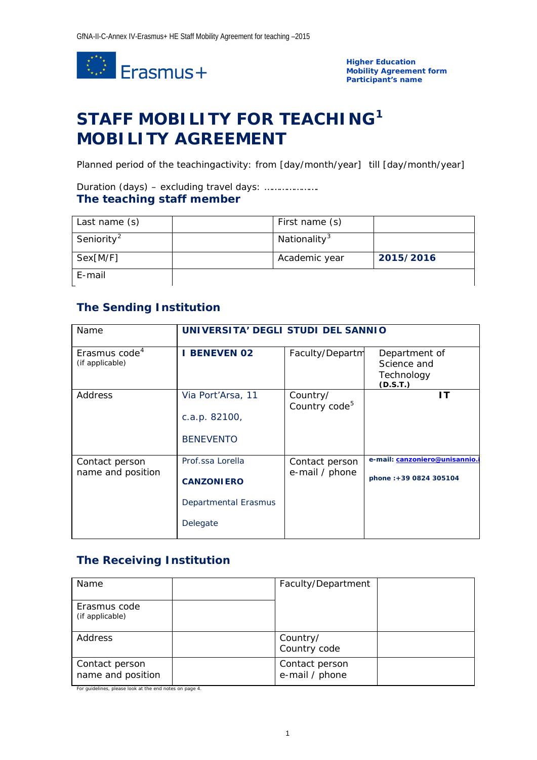

**Higher Education Mobility Agreement form Participant's name**

# **STAFF MOBILITY FOR TEACHING[1](#page-3-0) MOBILITY AGREEMENT**

Planned period of the teachingactivity: from *[day/month/year]* till *[day/month/year]*

### Duration (days) – excluding travel days: …………………. **The teaching staff member**

| Last name (s)          | First name (s)           |           |
|------------------------|--------------------------|-----------|
| Seniority <sup>2</sup> | Nationality <sup>3</sup> |           |
| $Sex[$ <i>M/F</i> ]    | Academic year            | 2015/2016 |
| E-mail                 |                          |           |

## **The Sending Institution**

| Name                                         | UNIVERSITA' DEGLI STUDI DEL SANNIO                                        |                                       |                                                         |
|----------------------------------------------|---------------------------------------------------------------------------|---------------------------------------|---------------------------------------------------------|
| Erasmus code <sup>4</sup><br>(if applicable) | <b>BENEVEN 02</b>                                                         | Faculty/Departm                       | Department of<br>Science and<br>Technology<br>(D.S.T.)  |
| Address                                      | Via Port'Arsa, 11<br>c.a.p. 82100,<br><b>BENEVENTO</b>                    | Country/<br>Country code <sup>5</sup> | ΙT                                                      |
| Contact person<br>name and position          | Prof.ssa Lorella<br><b>CANZONIERO</b><br>Departmental Erasmus<br>Delegate | Contact person<br>e-mail / phone      | e-mail: canzoniero@unisannio.<br>phone: +39 0824 305104 |

### **The Receiving Institution**

| Name                                | Faculty/Department               |  |
|-------------------------------------|----------------------------------|--|
| Erasmus code<br>(if applicable)     |                                  |  |
| Address                             | Country/<br>Country code         |  |
| Contact person<br>name and position | Contact person<br>e-mail / phone |  |

For guidelines, please look at the end notes on page 4.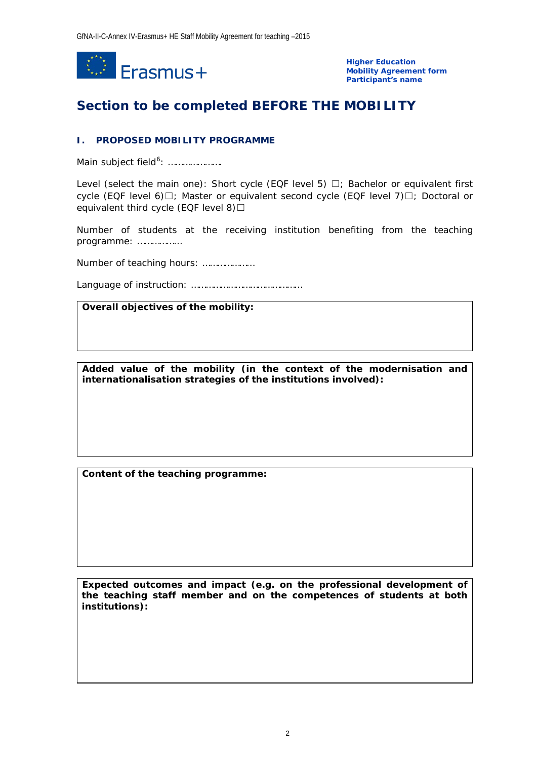

**Higher Education Mobility Agreement form Participant's name**

# **Section to be completed BEFORE THE MOBILITY**

### **I. PROPOSED MOBILITY PROGRAMME**

Main subject field<sup>[6](#page-3-5)</sup>: .....................

Level (select the main one): Short cycle (EQF level 5)  $\Box$ ; Bachelor or equivalent first cycle (EQF level 6)□; Master or equivalent second cycle (EQF level 7)□; Doctoral or equivalent third cycle (EQF level 8) $\Box$ 

Number of students at the receiving institution benefiting from the teaching programme: ………………

Number of teaching hours: …………………

Language of instruction: ………………………………………

### **Overall objectives of the mobility:**

**Added value of the mobility (in the context of the modernisation and internationalisation strategies of the institutions involved):**

**Content of the teaching programme:**

**Expected outcomes and impact (e.g. on the professional development of the teaching staff member and on the competences of students at both institutions):**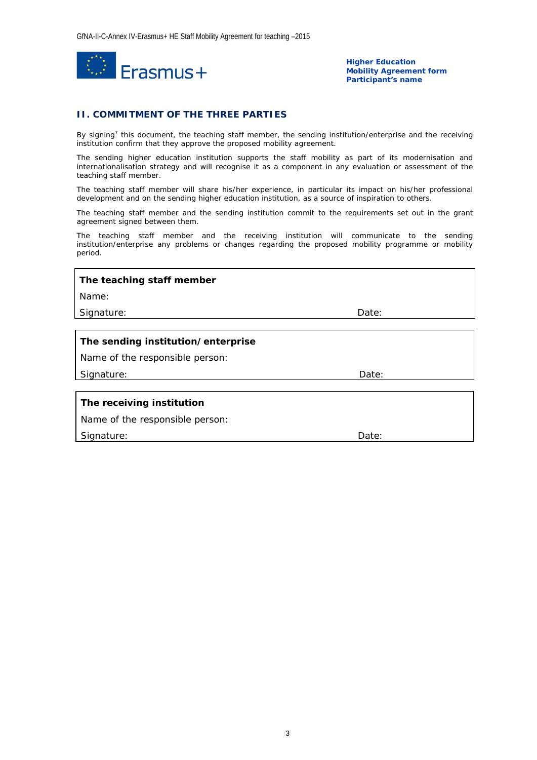

**Higher Education Mobility Agreement form Participant's name**

#### **II. COMMITMENT OF THE THREE PARTIES**

By signing<sup>7</sup> this document, the teaching staff member, the sending institution/enterprise and the receiving institution confirm that they approve the proposed mobility agreement.

The sending higher education institution supports the staff mobility as part of its modernisation and internationalisation strategy and will recognise it as a component in any evaluation or assessment of the teaching staff member.

The teaching staff member will share his/her experience, in particular its impact on his/her professional development and on the sending higher education institution, as a source of inspiration to others.

The teaching staff member and the sending institution commit to the requirements set out in the grant agreement signed between them.

The teaching staff member and the receiving institution will communicate to the sending institution/enterprise any problems or changes regarding the proposed mobility programme or mobility period.

| The teaching staff member          |       |  |  |  |
|------------------------------------|-------|--|--|--|
| Name:                              |       |  |  |  |
| Signature:                         | Date: |  |  |  |
|                                    |       |  |  |  |
| The sending institution/enterprise |       |  |  |  |
| Name of the responsible person:    |       |  |  |  |
| Signature:                         | Date: |  |  |  |
|                                    |       |  |  |  |
| The receiving institution          |       |  |  |  |
| Name of the responsible person:    |       |  |  |  |
| Signature:                         | Date: |  |  |  |